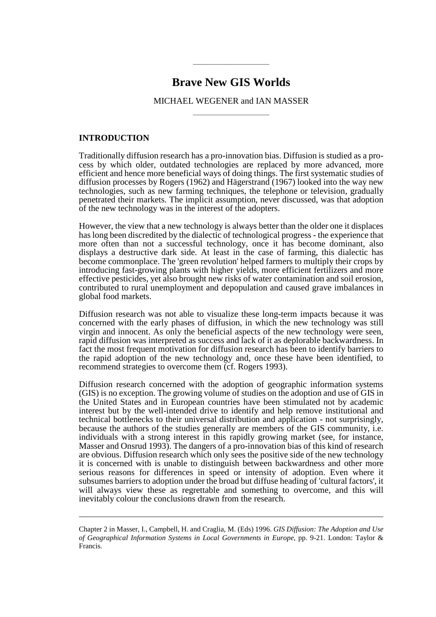# **Brave New GIS Worlds**

\_\_\_\_\_\_\_\_\_\_\_\_\_\_\_\_\_\_\_\_\_\_\_\_\_\_

MICHAEL WEGENER and IAN MASSER \_\_\_\_\_\_\_\_\_\_\_\_\_\_\_\_\_\_\_\_\_\_\_\_\_\_

# **INTRODUCTION**

Traditionally diffusion research has a pro-innovation bias. Diffusion is studied as a process by which older, outdated technologies are replaced by more advanced, more efficient and hence more beneficial ways of doing things. The first systematic studies of diffusion processes by Rogers (1962) and Hägerstrand (1967) looked into the way new technologies, such as new farming techniques, the telephone or television, gradually penetrated their markets. The implicit assumption, never discussed, was that adoption of the new technology was in the interest of the adopters.

However, the view that a new technology is always better than the older one it displaces has long been discredited by the dialectic of technological progress - the experience that more often than not a successful technology, once it has become dominant, also displays a destructive dark side. At least in the case of farming, this dialectic has become commonplace. The 'green revolution' helped farmers to multiply their crops by introducing fast-growing plants with higher yields, more efficient fertilizers and more effective pesticides, yet also brought new risks of water contamination and soil erosion, contributed to rural unemployment and depopulation and caused grave imbalances in global food markets.

Diffusion research was not able to visualize these long-term impacts because it was concerned with the early phases of diffusion, in which the new technology was still virgin and innocent. As only the beneficial aspects of the new technology were seen, rapid diffusion was interpreted as success and lack of it as deplorable backwardness. In fact the most frequent motivation for diffusion research has been to identify barriers to the rapid adoption of the new technology and, once these have been identified, to recommend strategies to overcome them (cf. Rogers 1993).

Diffusion research concerned with the adoption of geographic information systems (GIS) is no exception. The growing volume of studies on the adoption and use of GIS in the United States and in European countries have been stimulated not by academic interest but by the well-intended drive to identify and help remove institutional and technical bottlenecks to their universal distribution and application - not surprisingly, because the authors of the studies generally are members of the GIS community, i.e. individuals with a strong interest in this rapidly growing market (see, for instance, Masser and Onsrud 1993). The dangers of a pro-innovation bias of this kind of research are obvious. Diffusion research which only sees the positive side of the new technology it is concerned with is unable to distinguish between backwardness and other more serious reasons for differences in speed or intensity of adoption. Even where it subsumes barriers to adoption under the broad but diffuse heading of 'cultural factors', it will always view these as regrettable and something to overcome, and this will inevitably colour the conclusions drawn from the research.

Chapter 2 in Masser, I., Campbell, H. and Craglia, M. (Eds) 1996. *GIS Diffusion: The Adoption and Use of Geographical Information Systems in Local Governments in Europe*, pp. 9-21. London: Taylor & Francis.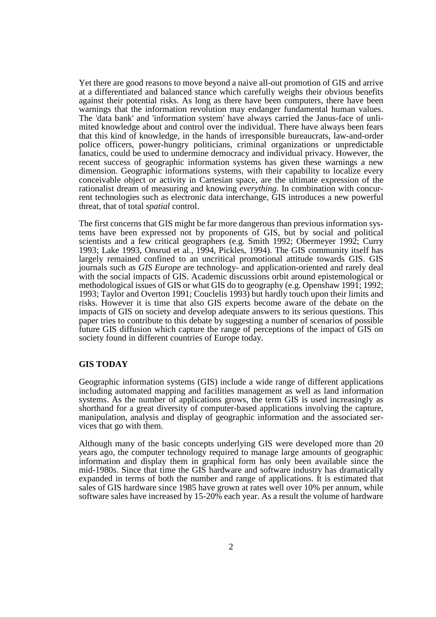Yet there are good reasons to move beyond a naive all-out promotion of GIS and arrive at a differentiated and balanced stance which carefully weighs their obvious benefits against their potential risks. As long as there have been computers, there have been warnings that the information revolution may endanger fundamental human values. The 'data bank' and 'information system' have always carried the Janus-face of unlimited knowledge about and control over the individual. There have always been fears that this kind of knowledge, in the hands of irresponsible bureaucrats, law-and-order police officers, power-hungry politicians, criminal organizations or unpredictable fanatics, could be used to undermine democracy and individual privacy. However, the recent success of geographic information systems has given these warnings a new dimension. Geographic informations systems, with their capability to localize every conceivable object or activity in Cartesian space, are the ultimate expression of the rationalist dream of measuring and knowing *everything*. In combination with concurrent technologies such as electronic data interchange, GIS introduces a new powerful threat, that of total *spatial* control.

The first concerns that GIS might be far more dangerous than previous information systems have been expressed not by proponents of GIS, but by social and political scientists and a few critical geographers (e.g. Smith 1992; Obermeyer 1992; Curry 1993; Lake 1993, Onsrud et al., 1994, Pickles, 1994). The GIS community itself has largely remained confined to an uncritical promotional attitude towards GIS. GIS journals such as *GIS Europe* are technology- and application-oriented and rarely deal with the social impacts of GIS. Academic discussions orbit around epistemological or methodological issues of GIS or what GIS do to geography (e.g. Openshaw 1991; 1992; 1993; Taylor and Overton 1991; Couclelis 1993) but hardly touch upon their limits and risks. However it is time that also GIS experts become aware of the debate on the impacts of GIS on society and develop adequate answers to its serious questions. This paper tries to contribute to this debate by suggesting a number of scenarios of possible future GIS diffusion which capture the range of perceptions of the impact of GIS on society found in different countries of Europe today.

## **GIS TODAY**

Geographic information systems (GIS) include a wide range of different applications including automated mapping and facilities management as well as land information systems. As the number of applications grows, the term GIS is used increasingly as shorthand for a great diversity of computer-based applications involving the capture, manipulation, analysis and display of geographic information and the associated services that go with them.

Although many of the basic concepts underlying GIS were developed more than 20 years ago, the computer technology required to manage large amounts of geographic information and display them in graphical form has only been available since the mid-1980s. Since that time the GIS hardware and software industry has dramatically expanded in terms of both the number and range of applications. It is estimated that sales of GIS hardware since 1985 have grown at rates well over 10% per annum, while software sales have increased by 15-20% each year. As a result the volume of hardware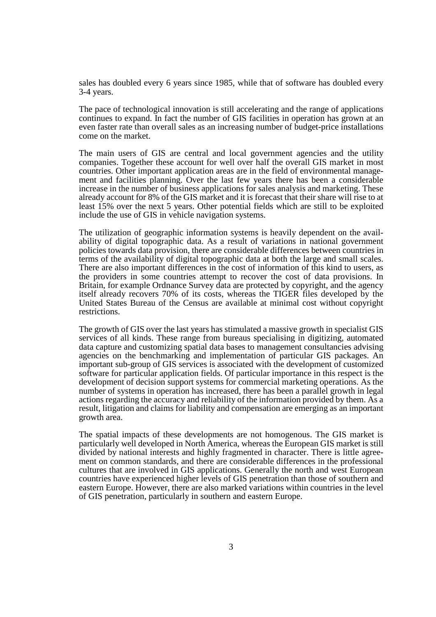sales has doubled every 6 years since 1985, while that of software has doubled every 3-4 years.

The pace of technological innovation is still accelerating and the range of applications continues to expand. In fact the number of GIS facilities in operation has grown at an even faster rate than overall sales as an increasing number of budget-price installations come on the market.

The main users of GIS are central and local government agencies and the utility companies. Together these account for well over half the overall GIS market in most countries. Other important application areas are in the field of environmental management and facilities planning. Over the last few years there has been a considerable increase in the number of business applications for sales analysis and marketing. These already account for 8% of the GIS market and it is forecast that their share will rise to at least 15% over the next 5 years. Other potential fields which are still to be exploited include the use of GIS in vehicle navigation systems.

The utilization of geographic information systems is heavily dependent on the availability of digital topographic data. As a result of variations in national government policies towards data provision, there are considerable differences between countries in terms of the availability of digital topographic data at both the large and small scales. There are also important differences in the cost of information of this kind to users, as the providers in some countries attempt to recover the cost of data provisions. In Britain, for example Ordnance Survey data are protected by copyright, and the agency itself already recovers 70% of its costs, whereas the TIGER files developed by the United States Bureau of the Census are available at minimal cost without copyright restrictions.

The growth of GIS over the last years has stimulated a massive growth in specialist GIS services of all kinds. These range from bureaus specialising in digitizing, automated data capture and customizing spatial data bases to management consultancies advising agencies on the benchmarking and implementation of particular GIS packages. An important sub-group of GIS services is associated with the development of customized software for particular application fields. Of particular importance in this respect is the development of decision support systems for commercial marketing operations. As the number of systems in operation has increased, there has been a parallel growth in legal actions regarding the accuracy and reliability of the information provided by them. As a result, litigation and claims for liability and compensation are emerging as an important growth area.

The spatial impacts of these developments are not homogenous. The GIS market is particularly well developed in North America, whereas the European GIS market is still divided by national interests and highly fragmented in character. There is little agreement on common standards, and there are considerable differences in the professional cultures that are involved in GIS applications. Generally the north and west European countries have experienced higher levels of GIS penetration than those of southern and eastern Europe. However, there are also marked variations within countries in the level of GIS penetration, particularly in southern and eastern Europe.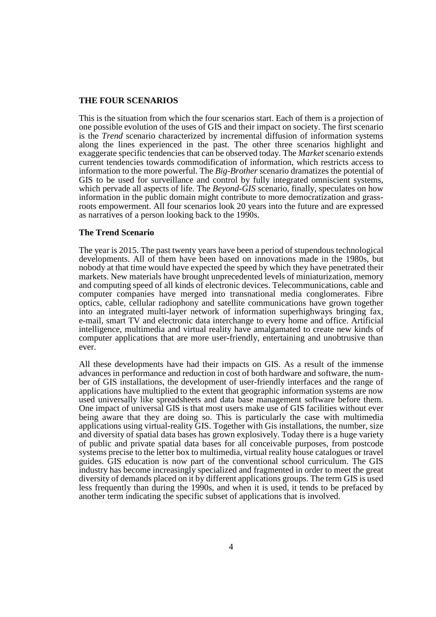# **THE FOUR SCENARIOS**

This is the situation from which the four scenarios start. Each of them is a projection of one possible evolution of the uses of GIS and their impact on society. The first scenario is the *Trend* scenario characterized by incremental diffusion of information systems along the lines experienced in the past. The other three scenarios highlight and exaggerate specific tendencies that can be observed today. The *Market* scenario extends current tendencies towards commodification of information, which restricts access to information to the more powerful. The *Big-Brother* scenario dramatizes the potential of GIS to be used for surveillance and control by fully integrated omniscient systems, which pervade all aspects of life. The *Beyond-GIS* scenario, finally, speculates on how information in the public domain might contribute to more democratization and grassroots empowerment. All four scenarios look 20 years into the future and are expressed as narratives of a person looking back to the 1990s.

## **The Trend Scenario**

The year is 2015. The past twenty years have been a period of stupendous technological developments. All of them have been based on innovations made in the 1980s, but nobody at that time would have expected the speed by which they have penetrated their markets. New materials have brought unprecedented levels of miniaturization, memory and computing speed of all kinds of electronic devices. Telecommunications, cable and computer companies have merged into transnational media conglomerates. Fibre optics, cable, cellular radiophony and satellite communications have grown together into an integrated multi-layer network of information superhighways bringing fax, e-mail, smart TV and electronic data interchange to every home and office. Artificial intelligence, multimedia and virtual reality have amalgamated to create new kinds of computer applications that are more user-friendly, entertaining and unobtrusive than ever.

All these developments have had their impacts on GIS. As a result of the immense advances in performance and reduction in cost of both hardware and software, the number of GIS installations, the development of user-friendly interfaces and the range of applications have multiplied to the extent that geographic information systems are now used universally like spreadsheets and data base management software before them. One impact of universal GIS is that most users make use of GIS facilities without ever being aware that they are doing so. This is particularly the case with multimedia applications using virtual-reality GIS. Together with Gis installations, the number, size and diversity of spatial data bases has grown explosively. Today there is a huge variety of public and private spatial data bases for all conceivable purposes, from postcode systems precise to the letter box to multimedia, virtual reality house catalogues or travel guides. GIS education is now part of the conventional school curriculum. The GIS industry has become increasingly specialized and fragmented in order to meet the great diversity of demands placed on it by different applications groups. The term GIS is used less frequently than during the 1990s, and when it is used, it tends to be prefaced by another term indicating the specific subset of applications that is involved.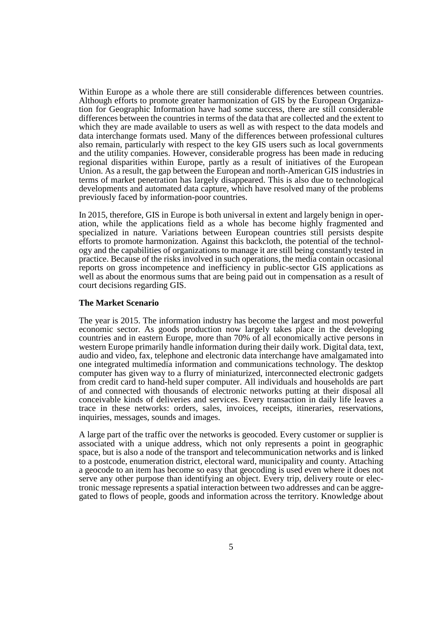Within Europe as a whole there are still considerable differences between countries. Although efforts to promote greater harmonization of GIS by the European Organization for Geographic Information have had some success, there are still considerable differences between the countries in terms of the data that are collected and the extent to which they are made available to users as well as with respect to the data models and data interchange formats used. Many of the differences between professional cultures also remain, particularly with respect to the key GIS users such as local governments and the utility companies. However, considerable progress has been made in reducing regional disparities within Europe, partly as a result of initiatives of the European Union. As a result, the gap between the European and north-American GIS industries in terms of market penetration has largely disappeared. This is also due to technological developments and automated data capture, which have resolved many of the problems previously faced by information-poor countries.

In 2015, therefore, GIS in Europe is both universal in extent and largely benign in operation, while the applications field as a whole has become highly fragmented and specialized in nature. Variations between European countries still persists despite efforts to promote harmonization. Against this backcloth, the potential of the technology and the capabilities of organizations to manage it are still being constantly tested in practice. Because of the risks involved in such operations, the media contain occasional reports on gross incompetence and inefficiency in public-sector GIS applications as well as about the enormous sums that are being paid out in compensation as a result of court decisions regarding GIS.

#### **The Market Scenario**

The year is 2015. The information industry has become the largest and most powerful economic sector. As goods production now largely takes place in the developing countries and in eastern Europe, more than 70% of all economically active persons in western Europe primarily handle information during their daily work. Digital data, text, audio and video, fax, telephone and electronic data interchange have amalgamated into one integrated multimedia information and communications technology. The desktop computer has given way to a flurry of miniaturized, interconnected electronic gadgets from credit card to hand-held super computer. All individuals and households are part of and connected with thousands of electronic networks putting at their disposal all conceivable kinds of deliveries and services. Every transaction in daily life leaves a trace in these networks: orders, sales, invoices, receipts, itineraries, reservations, inquiries, messages, sounds and images.

A large part of the traffic over the networks is geocoded. Every customer or supplier is associated with a unique address, which not only represents a point in geographic space, but is also a node of the transport and telecommunication networks and is linked to a postcode, enumeration district, electoral ward, municipality and county. Attaching a geocode to an item has become so easy that geocoding is used even where it does not serve any other purpose than identifying an object. Every trip, delivery route or electronic message represents a spatial interaction between two addresses and can be aggregated to flows of people, goods and information across the territory. Knowledge about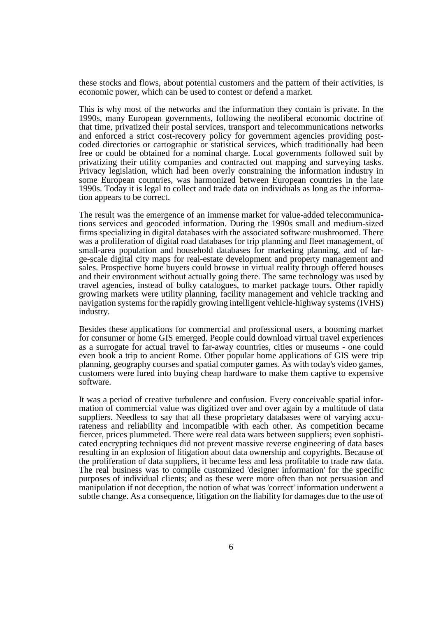these stocks and flows, about potential customers and the pattern of their activities, is economic power, which can be used to contest or defend a market.

This is why most of the networks and the information they contain is private. In the 1990s, many European governments, following the neoliberal economic doctrine of that time, privatized their postal services, transport and telecommunications networks and enforced a strict cost-recovery policy for government agencies providing postcoded directories or cartographic or statistical services, which traditionally had been free or could be obtained for a nominal charge. Local governments followed suit by privatizing their utility companies and contracted out mapping and surveying tasks. Privacy legislation, which had been overly constraining the information industry in some European countries, was harmonized between European countries in the late 1990s. Today it is legal to collect and trade data on individuals as long as the information appears to be correct.

The result was the emergence of an immense market for value-added telecommunications services and geocoded information. During the 1990s small and medium-sized firms specializing in digital databases with the associated software mushroomed. There was a proliferation of digital road databases for trip planning and fleet management, of small-area population and household databases for marketing planning, and of large-scale digital city maps for real-estate development and property management and sales. Prospective home buyers could browse in virtual reality through offered houses and their environment without actually going there. The same technology was used by travel agencies, instead of bulky catalogues, to market package tours. Other rapidly growing markets were utility planning, facility management and vehicle tracking and navigation systems for the rapidly growing intelligent vehicle-highway systems (IVHS) industry.

Besides these applications for commercial and professional users, a booming market for consumer or home GIS emerged. People could download virtual travel experiences as a surrogate for actual travel to far-away countries, cities or museums - one could even book a trip to ancient Rome. Other popular home applications of GIS were trip planning, geography courses and spatial computer games. As with today's video games, customers were lured into buying cheap hardware to make them captive to expensive software.

It was a period of creative turbulence and confusion. Every conceivable spatial information of commercial value was digitized over and over again by a multitude of data suppliers. Needless to say that all these proprietary databases were of varying accurateness and reliability and incompatible with each other. As competition became fiercer, prices plummeted. There were real data wars between suppliers; even sophisticated encrypting techniques did not prevent massive reverse engineering of data bases resulting in an explosion of litigation about data ownership and copyrights. Because of the proliferation of data suppliers, it became less and less profitable to trade raw data. The real business was to compile customized 'designer information' for the specific purposes of individual clients; and as these were more often than not persuasion and manipulation if not deception, the notion of what was 'correct' information underwent a subtle change. As a consequence, litigation on the liability for damages due to the use of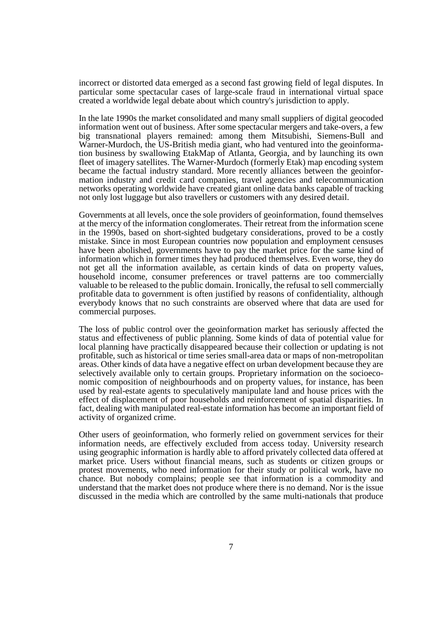incorrect or distorted data emerged as a second fast growing field of legal disputes. In particular some spectacular cases of large-scale fraud in international virtual space created a worldwide legal debate about which country's jurisdiction to apply.

In the late 1990s the market consolidated and many small suppliers of digital geocoded information went out of business. After some spectacular mergers and take-overs, a few big transnational players remained: among them Mitsubishi, Siemens-Bull and Warner-Murdoch, the US-British media giant, who had ventured into the geoinformation business by swallowing EtakMap of Atlanta, Georgia, and by launching its own fleet of imagery satellites. The Warner-Murdoch (formerly Etak) map encoding system became the factual industry standard. More recently alliances between the geoinformation industry and credit card companies, travel agencies and telecommunication networks operating worldwide have created giant online data banks capable of tracking not only lost luggage but also travellers or customers with any desired detail.

Governments at all levels, once the sole providers of geoinformation, found themselves at the mercy of the information conglomerates. Their retreat from the information scene in the 1990s, based on short-sighted budgetary considerations, proved to be a costly mistake. Since in most European countries now population and employment censuses have been abolished, governments have to pay the market price for the same kind of information which in former times they had produced themselves. Even worse, they do not get all the information available, as certain kinds of data on property values, household income, consumer preferences or travel patterns are too commercially valuable to be released to the public domain. Ironically, the refusal to sell commercially profitable data to government is often justified by reasons of confidentiality, although everybody knows that no such constraints are observed where that data are used for commercial purposes.

The loss of public control over the geoinformation market has seriously affected the status and effectiveness of public planning. Some kinds of data of potential value for local planning have practically disappeared because their collection or updating is not profitable, such as historical or time series small-area data or maps of non-metropolitan areas. Other kinds of data have a negative effect on urban development because they are selectively available only to certain groups. Proprietary information on the socioeconomic composition of neighbourhoods and on property values, for instance, has been used by real-estate agents to speculatively manipulate land and house prices with the effect of displacement of poor households and reinforcement of spatial disparities. In fact, dealing with manipulated real-estate information has become an important field of activity of organized crime.

Other users of geoinformation, who formerly relied on government services for their information needs, are effectively excluded from access today. University research using geographic information is hardly able to afford privately collected data offered at market price. Users without financial means, such as students or citizen groups or protest movements, who need information for their study or political work, have no chance. But nobody complains; people see that information is a commodity and understand that the market does not produce where there is no demand. Nor is the issue discussed in the media which are controlled by the same multi-nationals that produce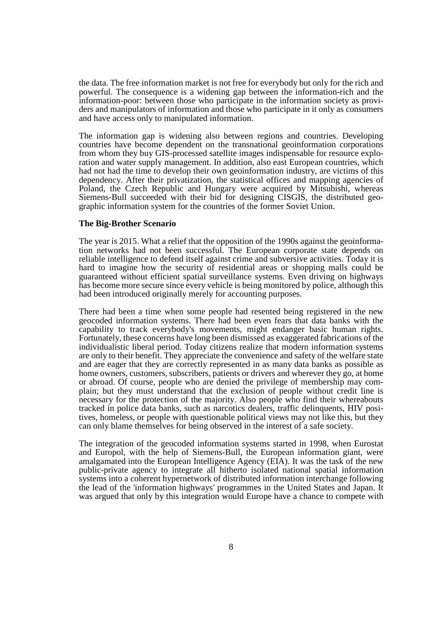the data. The free information market is not free for everybody but only for the rich and powerful. The consequence is a widening gap between the information-rich and the information-poor: between those who participate in the information society as providers and manipulators of information and those who participate in it only as consumers and have access only to manipulated information.

The information gap is widening also between regions and countries. Developing countries have become dependent on the transnational geoinformation corporations from whom they buy GIS-processed satellite images indispensable for resource exploration and water supply management. In addition, also east European countries, which had not had the time to develop their own geoinformation industry, are victims of this dependency. After their privatization, the statistical offices and mapping agencies of Poland, the Czech Republic and Hungary were acquired by Mitsubishi, whereas Siemens-Bull succeeded with their bid for designing CISGIS, the distributed geographic information system for the countries of the former Soviet Union.

## **The Big-Brother Scenario**

The year is 2015. What a relief that the opposition of the 1990s against the geoinformation networks had not been successful. The European corporate state depends on reliable intelligence to defend itself against crime and subversive activities. Today it is hard to imagine how the security of residential areas or shopping malls could be guaranteed without efficient spatial surveillance systems. Even driving on highways has become more secure since every vehicle is being monitored by police, although this had been introduced originally merely for accounting purposes.

There had been a time when some people had resented being registered in the new geocoded information systems. There had been even fears that data banks with the capability to track everybody's movements, might endanger basic human rights. Fortunately, these concerns have long been dismissed as exaggerated fabrications of the individualistic liberal period. Today citizens realize that modern information systems are only to their benefit. They appreciate the convenience and safety of the welfare state and are eager that they are correctly represented in as many data banks as possible as home owners, customers, subscribers, patients or drivers and wherever they go, at home or abroad. Of course, people who are denied the privilege of membership may complain; but they must understand that the exclusion of people without credit line is necessary for the protection of the majority. Also people who find their whereabouts tracked in police data banks, such as narcotics dealers, traffic delinquents, HIV positives, homeless, or people with questionable political views may not like this, but they can only blame themselves for being observed in the interest of a safe society.

The integration of the geocoded information systems started in 1998, when Eurostat and Europol, with the help of Siemens-Bull, the European information giant, were amalgamated into the European Intelligence Agency (EIA). It was the task of the new public-private agency to integrate all hitherto isolated national spatial information systems into a coherent hypernetwork of distributed information interchange following the lead of the 'information highways' programmes in the United States and Japan. It was argued that only by this integration would Europe have a chance to compete with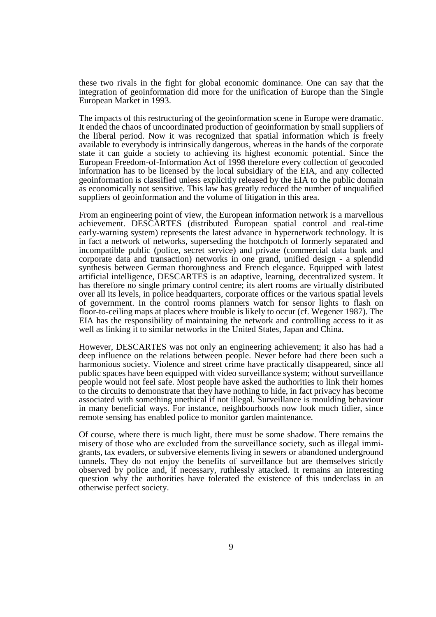these two rivals in the fight for global economic dominance. One can say that the integration of geoinformation did more for the unification of Europe than the Single European Market in 1993.

The impacts of this restructuring of the geoinformation scene in Europe were dramatic. It ended the chaos of uncoordinated production of geoinformation by small suppliers of the liberal period. Now it was recognized that spatial information which is freely available to everybody is intrinsically dangerous, whereas in the hands of the corporate state it can guide a society to achieving its highest economic potential. Since the European Freedom-of-Information Act of 1998 therefore every collection of geocoded information has to be licensed by the local subsidiary of the EIA, and any collected geoinformation is classified unless explicitly released by the EIA to the public domain as economically not sensitive. This law has greatly reduced the number of unqualified suppliers of geoinformation and the volume of litigation in this area.

From an engineering point of view, the European information network is a marvellous achievement. DESCARTES (distributed European spatial control and real-time early-warning system) represents the latest advance in hypernetwork technology. It is in fact a network of networks, superseding the hotchpotch of formerly separated and incompatible public (police, secret service) and private (commercial data bank and corporate data and transaction) networks in one grand, unified design - a splendid synthesis between German thoroughness and French elegance. Equipped with latest artificial intelligence, DESCARTES is an adaptive, learning, decentralized system. It has therefore no single primary control centre; its alert rooms are virtually distributed over all its levels, in police headquarters, corporate offices or the various spatial levels of government. In the control rooms planners watch for sensor lights to flash on floor-to-ceiling maps at places where trouble is likely to occur (cf. Wegener 1987). The EIA has the responsibility of maintaining the network and controlling access to it as well as linking it to similar networks in the United States, Japan and China.

However, DESCARTES was not only an engineering achievement; it also has had a deep influence on the relations between people. Never before had there been such a harmonious society. Violence and street crime have practically disappeared, since all public spaces have been equipped with video surveillance system; without surveillance people would not feel safe. Most people have asked the authorities to link their homes to the circuits to demonstrate that they have nothing to hide, in fact privacy has become associated with something unethical if not illegal. Surveillance is moulding behaviour in many beneficial ways. For instance, neighbourhoods now look much tidier, since remote sensing has enabled police to monitor garden maintenance.

Of course, where there is much light, there must be some shadow. There remains the misery of those who are excluded from the surveillance society, such as illegal immigrants, tax evaders, or subversive elements living in sewers or abandoned underground tunnels. They do not enjoy the benefits of surveillance but are themselves strictly observed by police and, if necessary, ruthlessly attacked. It remains an interesting question why the authorities have tolerated the existence of this underclass in an otherwise perfect society.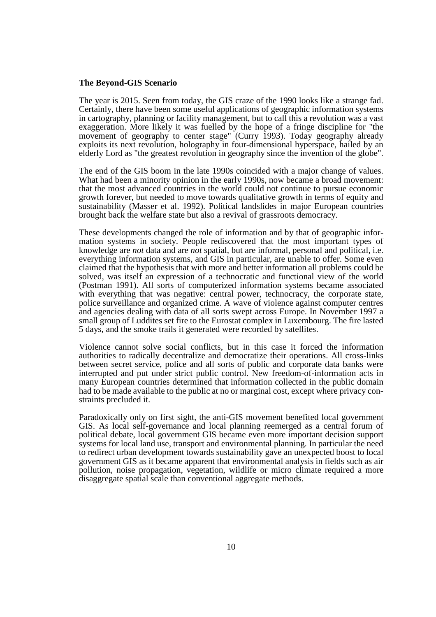#### **The Beyond-GIS Scenario**

The year is 2015. Seen from today, the GIS craze of the 1990 looks like a strange fad. Certainly, there have been some useful applications of geographic information systems in cartography, planning or facility management, but to call this a revolution was a vast exaggeration. More likely it was fuelled by the hope of a fringe discipline for "the movement of geography to center stage" (Curry 1993). Today geography already exploits its next revolution, holography in four-dimensional hyperspace, hailed by an elderly Lord as "the greatest revolution in geography since the invention of the globe".

The end of the GIS boom in the late 1990s coincided with a major change of values. What had been a minority opinion in the early 1990s, now became a broad movement: that the most advanced countries in the world could not continue to pursue economic growth forever, but needed to move towards qualitative growth in terms of equity and sustainability (Masser et al. 1992). Political landslides in major European countries brought back the welfare state but also a revival of grassroots democracy.

These developments changed the role of information and by that of geographic information systems in society. People rediscovered that the most important types of knowledge are *not* data and are *not* spatial, but are informal, personal and political, i.e. everything information systems, and GIS in particular, are unable to offer. Some even claimed that the hypothesis that with more and better information all problems could be solved, was itself an expression of a technocratic and functional view of the world (Postman 1991). All sorts of computerized information systems became associated with everything that was negative: central power, technocracy, the corporate state, police surveillance and organized crime. A wave of violence against computer centres and agencies dealing with data of all sorts swept across Europe. In November 1997 a small group of Luddites set fire to the Eurostat complex in Luxembourg. The fire lasted 5 days, and the smoke trails it generated were recorded by satellites.

Violence cannot solve social conflicts, but in this case it forced the information authorities to radically decentralize and democratize their operations. All cross-links between secret service, police and all sorts of public and corporate data banks were interrupted and put under strict public control. New freedom-of-information acts in many European countries determined that information collected in the public domain had to be made available to the public at no or marginal cost, except where privacy constraints precluded it.

Paradoxically only on first sight, the anti-GIS movement benefited local government GIS. As local self-governance and local planning reemerged as a central forum of political debate, local government GIS became even more important decision support systems for local land use, transport and environmental planning. In particular the need to redirect urban development towards sustainability gave an unexpected boost to local government GIS as it became apparent that environmental analysis in fields such as air pollution, noise propagation, vegetation, wildlife or micro climate required a more disaggregate spatial scale than conventional aggregate methods.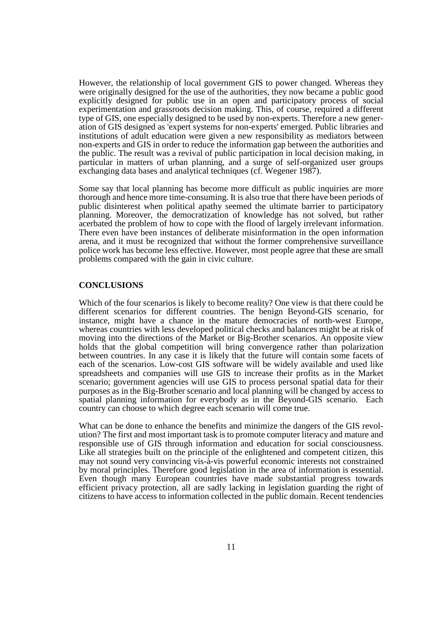However, the relationship of local government GIS to power changed. Whereas they were originally designed for the use of the authorities, they now became a public good explicitly designed for public use in an open and participatory process of social experimentation and grassroots decision making. This, of course, required a different type of GIS, one especially designed to be used by non-experts. Therefore a new generation of GIS designed as 'expert systems for non-experts' emerged. Public libraries and institutions of adult education were given a new responsibility as mediators between non-experts and GIS in order to reduce the information gap between the authorities and the public. The result was a revival of public participation in local decision making, in particular in matters of urban planning, and a surge of self-organized user groups exchanging data bases and analytical techniques (cf. Wegener 1987).

Some say that local planning has become more difficult as public inquiries are more thorough and hence more time-consuming. It is also true that there have been periods of public disinterest when political apathy seemed the ultimate barrier to participatory planning. Moreover, the democratization of knowledge has not solved, but rather acerbated the problem of how to cope with the flood of largely irrelevant information. There even have been instances of deliberate misinformation in the open information arena, and it must be recognized that without the former comprehensive surveillance police work has become less effective. However, most people agree that these are small problems compared with the gain in civic culture.

## **CONCLUSIONS**

Which of the four scenarios is likely to become reality? One view is that there could be different scenarios for different countries. The benign Beyond-GIS scenario, for instance, might have a chance in the mature democracies of north-west Europe, whereas countries with less developed political checks and balances might be at risk of moving into the directions of the Market or Big-Brother scenarios. An opposite view holds that the global competition will bring convergence rather than polarization between countries. In any case it is likely that the future will contain some facets of each of the scenarios. Low-cost GIS software will be widely available and used like spreadsheets and companies will use GIS to increase their profits as in the Market scenario; government agencies will use GIS to process personal spatial data for their purposes as in the Big-Brother scenario and local planning will be changed by access to spatial planning information for everybody as in the Beyond-GIS scenario. Each country can choose to which degree each scenario will come true.

What can be done to enhance the benefits and minimize the dangers of the GIS revolution? The first and most important task is to promote computer literacy and mature and responsible use of GIS through information and education for social consciousness. Like all strategies built on the principle of the enlightened and competent citizen, this may not sound very convincing vis-à-vis powerful economic interests not constrained by moral principles. Therefore good legislation in the area of information is essential. Even though many European countries have made substantial progress towards efficient privacy protection, all are sadly lacking in legislation guarding the right of citizens to have access to information collected in the public domain. Recent tendencies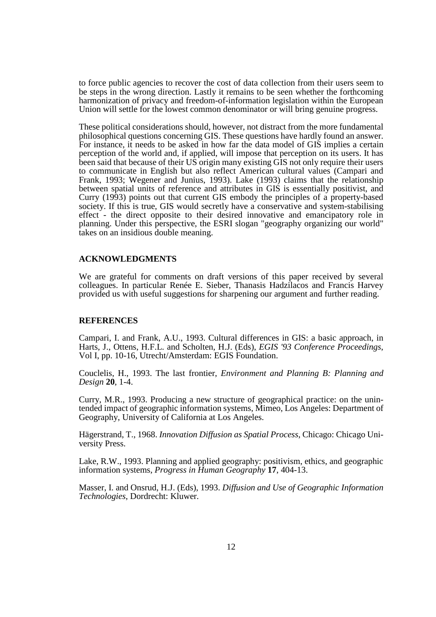to force public agencies to recover the cost of data collection from their users seem to be steps in the wrong direction. Lastly it remains to be seen whether the forthcoming harmonization of privacy and freedom-of-information legislation within the European Union will settle for the lowest common denominator or will bring genuine progress.

These political considerations should, however, not distract from the more fundamental philosophical questions concerning GIS. These questions have hardly found an answer. For instance, it needs to be asked in how far the data model of GIS implies a certain perception of the world and, if applied, will impose that perception on its users. It has been said that because of their US origin many existing GIS not only require their users to communicate in English but also reflect American cultural values (Campari and Frank, 1993; Wegener and Junius, 1993). Lake (1993) claims that the relationship between spatial units of reference and attributes in GIS is essentially positivist, and Curry (1993) points out that current GIS embody the principles of a property-based society. If this is true, GIS would secretly have a conservative and system-stabilising effect - the direct opposite to their desired innovative and emancipatory role in planning. Under this perspective, the ESRI slogan "geography organizing our world" takes on an insidious double meaning.

#### **ACKNOWLEDGMENTS**

We are grateful for comments on draft versions of this paper received by several colleagues. In particular Renée E. Sieber, Thanasis Hadzilacos and Francis Harvey provided us with useful suggestions for sharpening our argument and further reading.

## **REFERENCES**

Campari, I. and Frank, A.U., 1993. Cultural differences in GIS: a basic approach, in Harts, J., Ottens, H.F.L. and Scholten, H.J. (Eds), *EGIS '93 Conference Proceedings*, Vol I, pp. 10-16, Utrecht/Amsterdam: EGIS Foundation.

Couclelis, H., 1993. The last frontier, *Environment and Planning B: Planning and Design* **20**, 1-4.

Curry, M.R., 1993. Producing a new structure of geographical practice: on the unintended impact of geographic information systems, Mimeo, Los Angeles: Department of Geography, University of California at Los Angeles.

Hägerstrand, T., 1968. *Innovation Diffusion as Spatial Process*, Chicago: Chicago University Press.

Lake, R.W., 1993. Planning and applied geography: positivism, ethics, and geographic information systems, *Progress in Human Geography* **17**, 404-13.

Masser, I. and Onsrud, H.J. (Eds), 1993. *Diffusion and Use of Geographic Information Technologies*, Dordrecht: Kluwer.